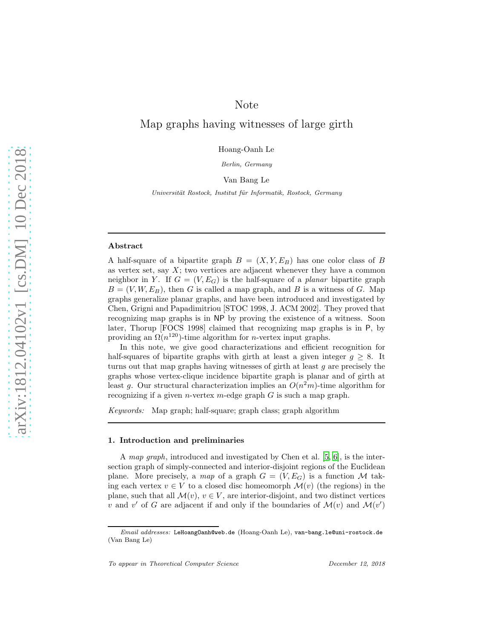## Note

# Map graphs having witnesses of large girth

Hoang-Oanh Le

Berlin, Germany

#### Van Bang Le

Universität Rostock, Institut für Informatik, Rostock, Germany

#### Abstract

A half-square of a bipartite graph  $B = (X, Y, E_B)$  has one color class of B as vertex set, say  $X$ ; two vertices are adjacent whenever they have a common neighbor in Y. If  $G = (V, E_G)$  is the half-square of a *planar* bipartite graph  $B = (V, W, E_B)$ , then G is called a map graph, and B is a witness of G. Map graphs generalize planar graphs, and have been introduced and investigated by Chen, Grigni and Papadimitriou [STOC 1998, J. ACM 2002]. They proved that recognizing map graphs is in NP by proving the existence of a witness. Soon later, Thorup [FOCS 1998] claimed that recognizing map graphs is in P, by providing an  $\Omega(n^{120})$ -time algorithm for *n*-vertex input graphs.

In this note, we give good characterizations and efficient recognition for half-squares of bipartite graphs with girth at least a given integer  $q \geq 8$ . It turns out that map graphs having witnesses of girth at least  $g$  are precisely the graphs whose vertex-clique incidence bipartite graph is planar and of girth at least g. Our structural characterization implies an  $O(n^2m)$ -time algorithm for recognizing if a given *n*-vertex *m*-edge graph  $G$  is such a map graph.

*Keywords:* Map graph; half-square; graph class; graph algorithm

#### 1. Introduction and preliminaries

A *map graph*, introduced and investigated by Chen et al. [\[5,](#page-8-0) [6](#page-8-1)], is the intersection graph of simply-connected and interior-disjoint regions of the Euclidean plane. More precisely, a *map* of a graph  $G = (V, E_G)$  is a function M taking each vertex  $v \in V$  to a closed disc homeomorph  $\mathcal{M}(v)$  (the regions) in the plane, such that all  $\mathcal{M}(v)$ ,  $v \in V$ , are interior-disjoint, and two distinct vertices v and v' of G are adjacent if and only if the boundaries of  $\mathcal{M}(v)$  and  $\mathcal{M}(v')$ 

Email addresses: LeHoangOanh@web.de (Hoang-Oanh Le), van-bang.le@uni-rostock.de (Van Bang Le)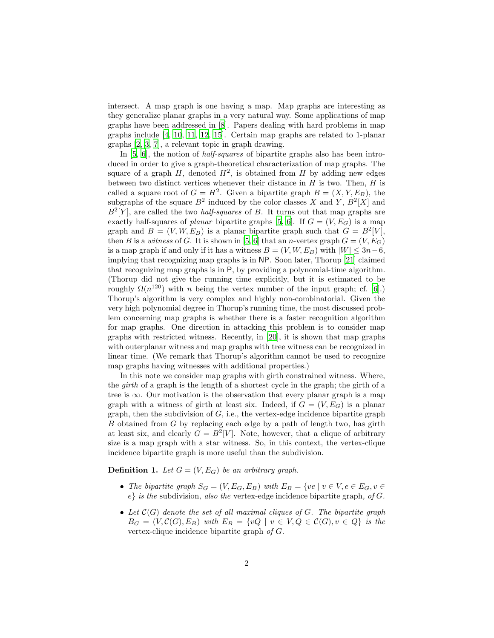intersect. A map graph is one having a map. Map graphs are interesting as they generalize planar graphs in a very natural way. Some applications of map graphs have been addressed in [\[8\]](#page-8-2). Papers dealing with hard problems in map graphs include [\[4,](#page-8-3) [10,](#page-9-0) [11,](#page-9-1) [12,](#page-9-2) [15](#page-9-3)]. Certain map graphs are related to 1-planar graphs [\[2,](#page-8-4) [3,](#page-8-5) [7\]](#page-8-6), a relevant topic in graph drawing.

In [\[5](#page-8-0), [6\]](#page-8-1), the notion of *half-squares* of bipartite graphs also has been introduced in order to give a graph-theoretical characterization of map graphs. The square of a graph  $H$ , denoted  $H^2$ , is obtained from H by adding new edges between two distinct vertices whenever their distance in  $H$  is two. Then,  $H$  is called a square root of  $G = H^2$ . Given a bipartite graph  $B = (X, Y, E_B)$ , the subgraphs of the square  $B^2$  induced by the color classes X and Y,  $B^2[X]$  and  $B^2[Y]$ , are called the two *half-squares* of B. It turns out that map graphs are exactly half-squares of *planar* bipartite graphs [\[5](#page-8-0), [6](#page-8-1)]. If  $G = (V, E_G)$  is a map graph and  $B = (V, W, E_B)$  is a planar bipartite graph such that  $G = B^2[V]$ , then B is a *witness* of G. It is shown in [\[5,](#page-8-0) [6](#page-8-1)] that an *n*-vertex graph  $G = (V, E_G)$ is a map graph if and only if it has a witness  $B = (V, W, E_B)$  with  $|W| \leq 3n-6$ , implying that recognizing map graphs is in NP. Soon later, Thorup [\[21\]](#page-9-4) claimed that recognizing map graphs is in P, by providing a polynomial-time algorithm. (Thorup did not give the running time explicitly, but it is estimated to be roughly  $\Omega(n^{120})$  with *n* being the vertex number of the input graph; cf. [\[6](#page-8-1)].) Thorup's algorithm is very complex and highly non-combinatorial. Given the very high polynomial degree in Thorup's running time, the most discussed problem concerning map graphs is whether there is a faster recognition algorithm for map graphs. One direction in attacking this problem is to consider map graphs with restricted witness. Recently, in [\[20\]](#page-9-5), it is shown that map graphs with outerplanar witness and map graphs with tree witness can be recognized in linear time. (We remark that Thorup's algorithm cannot be used to recognize map graphs having witnesses with additional properties.)

In this note we consider map graphs with girth constrained witness. Where, the *girth* of a graph is the length of a shortest cycle in the graph; the girth of a tree is  $\infty$ . Our motivation is the observation that every planar graph is a map graph with a witness of girth at least six. Indeed, if  $G = (V, E_G)$  is a planar graph, then the subdivision of  $G$ , i.e., the vertex-edge incidence bipartite graph B obtained from G by replacing each edge by a path of length two, has girth at least six, and clearly  $G = B^2[V]$ . Note, however, that a clique of arbitrary size is a map graph with a star witness. So, in this context, the vertex-clique incidence bipartite graph is more useful than the subdivision.

**Definition 1.** *Let*  $G = (V, E_G)$  *be an arbitrary graph.* 

- *The bipartite graph*  $S_G = (V, E_G, E_B)$  *with*  $E_B = \{ve \mid v \in V, e \in E_G, v \in E_B\}$ e} *is the* subdivision*, also the* vertex-edge incidence bipartite graph*, of* G*.*
- *Let* C(G) *denote the set of all maximal cliques of* G*. The bipartite graph*  $B_G = (V, \mathcal{C}(G), E_B)$  *with*  $E_B = \{vQ \mid v \in V, Q \in \mathcal{C}(G), v \in Q\}$  *is the* vertex-clique incidence bipartite graph *of* G*.*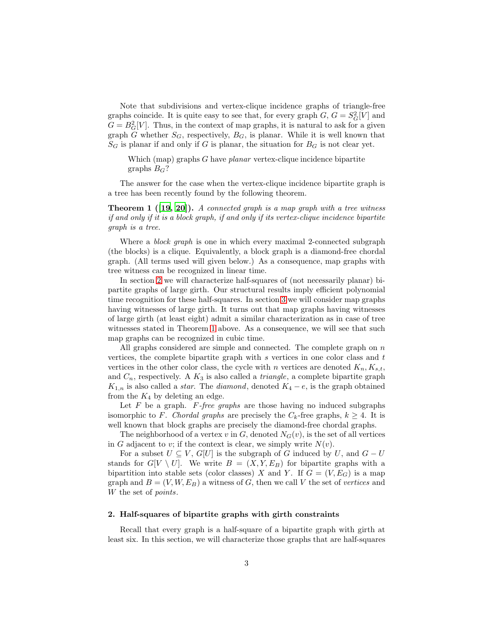Note that subdivisions and vertex-clique incidence graphs of triangle-free graphs coincide. It is quite easy to see that, for every graph  $G, G = S_G^2[V]$  and  $G = B_G^2[V]$ . Thus, in the context of map graphs, it is natural to ask for a given graph G whether  $S_G$ , respectively,  $B_G$ , is planar. While it is well known that  $S_G$  is planar if and only if G is planar, the situation for  $B_G$  is not clear yet.

Which (map) graphs G have *planar* vertex-clique incidence bipartite graphs  $B_G$ ?

<span id="page-2-1"></span>The answer for the case when the vertex-clique incidence bipartite graph is a tree has been recently found by the following theorem.

Theorem 1 ([\[19](#page-9-6), [20\]](#page-9-5)). *A connected graph is a map graph with a tree witness if and only if it is a block graph, if and only if its vertex-clique incidence bipartite graph is a tree.*

Where a *block graph* is one in which every maximal 2-connected subgraph (the blocks) is a clique. Equivalently, a block graph is a diamond-free chordal graph. (All terms used will given below.) As a consequence, map graphs with tree witness can be recognized in linear time.

In section [2](#page-2-0) we will characterize half-squares of (not necessarily planar) bipartite graphs of large girth. Our structural results imply efficient polynomial time recognition for these half-squares. In section [3](#page-5-0) we will consider map graphs having witnesses of large girth. It turns out that map graphs having witnesses of large girth (at least eight) admit a similar characterization as in case of tree witnesses stated in Theorem [1](#page-2-1) above. As a consequence, we will see that such map graphs can be recognized in cubic time.

All graphs considered are simple and connected. The complete graph on  $n$ vertices, the complete bipartite graph with  $s$  vertices in one color class and  $t$ vertices in the other color class, the cycle with n vertices are denoted  $K_n, K_{s,t}$ , and  $C_n$ , respectively. A  $K_3$  is also called a *triangle*, a complete bipartite graph  $K_{1,n}$  is also called a *star*. The *diamond*, denoted  $K_4 - e$ , is the graph obtained from the  $K_4$  by deleting an edge.

Let F be a graph. F*-free graphs* are those having no induced subgraphs isomorphic to F. *Chordal graphs* are precisely the  $C_k$ -free graphs,  $k \geq 4$ . It is well known that block graphs are precisely the diamond-free chordal graphs.

The neighborhood of a vertex v in  $G$ , denoted  $N_G(v)$ , is the set of all vertices in G adjacent to v; if the context is clear, we simply write  $N(v)$ .

For a subset  $U \subseteq V$ ,  $G[U]$  is the subgraph of G induced by U, and  $G - U$ stands for  $G[V \setminus U]$ . We write  $B = (X, Y, E_B)$  for bipartite graphs with a bipartition into stable sets (color classes) X and Y. If  $G = (V, E_G)$  is a map graph and  $B = (V, W, E_B)$  a witness of G, then we call V the set of *vertices* and W the set of *points*.

#### <span id="page-2-0"></span>2. Half-squares of bipartite graphs with girth constraints

Recall that every graph is a half-square of a bipartite graph with girth at least six. In this section, we will characterize those graphs that are half-squares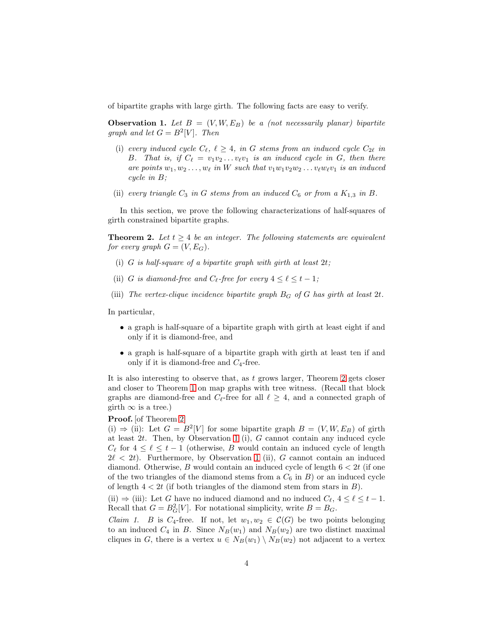<span id="page-3-1"></span>of bipartite graphs with large girth. The following facts are easy to verify.

**Observation 1.** Let  $B = (V, W, E_B)$  be a (not necessarily planar) bipartite *graph and let*  $G = B^2[V]$ *. Then* 

- (i) *every induced cycle*  $C_{\ell}$ ,  $\ell \geq 4$ , in G *stems from an induced cycle*  $C_{2\ell}$  *in* B. That is, if  $C_{\ell} = v_1v_2 \ldots v_{\ell}v_1$  is an induced cycle in G, then there *are points*  $w_1, w_2, \ldots, w_\ell$  *in* W *such that*  $v_1w_1v_2w_2\ldots v_\ell w_\ell v_1$  *is an induced cycle in* B*;*
- (ii) *every triangle*  $C_3$  *in*  $G$  *stems from an induced*  $C_6$  *or from a*  $K_{1,3}$  *in*  $B$ *.*

<span id="page-3-0"></span>In this section, we prove the following characterizations of half-squares of girth constrained bipartite graphs.

**Theorem 2.** Let  $t \geq 4$  be an integer. The following statements are equivalent *for every graph*  $G = (V, E_G)$ *.* 

- (i) G *is half-square of a bipartite graph with girth at least* 2t*;*
- (ii) G *is diamond-free and*  $C_{\ell}$ -free for every  $4 \leq \ell \leq t 1$ ;
- (iii) The vertex-clique incidence bipartite graph  $B_G$  of  $G$  has girth at least  $2t$ .

In particular,

- a graph is half-square of a bipartite graph with girth at least eight if and only if it is diamond-free, and
- a graph is half-square of a bipartite graph with girth at least ten if and only if it is diamond-free and  $C_4$ -free.

It is also interesting to observe that, as  $t$  grows larger, Theorem [2](#page-3-0) gets closer and closer to Theorem [1](#page-2-1) on map graphs with tree witness. (Recall that block graphs are diamond-free and  $C_{\ell}$ -free for all  $\ell \geq 4$ , and a connected graph of girth  $\infty$  is a tree.)

## Proof. [of Theorem [2\]](#page-3-0)

(i)  $\Rightarrow$  (ii): Let  $G = B^2[V]$  for some bipartite graph  $B = (V, W, E_B)$  of girth at least  $2t$ . Then, by Observation [1](#page-3-1) (i), G cannot contain any induced cycle  $C_{\ell}$  for  $4 \leq \ell \leq t-1$  (otherwise, B would contain an induced cycle of length  $2\ell < 2t$ . Furthermore, by Observation [1](#page-3-1) (ii), G cannot contain an induced diamond. Otherwise, B would contain an induced cycle of length  $6 < 2t$  (if one of the two triangles of the diamond stems from a  $C_6$  in B) or an induced cycle of length  $4 < 2t$  (if both triangles of the diamond stem from stars in B).

(ii)  $\Rightarrow$  (iii): Let G have no induced diamond and no induced  $C_{\ell}$ ,  $4 \leq \ell \leq t-1$ . Recall that  $G = B_G^2[V]$ . For notational simplicity, write  $B = B_G$ .

*Claim 1.* B is C<sub>4</sub>-free. If not, let  $w_1, w_2 \in C(G)$  be two points belonging to an induced  $C_4$  in B. Since  $N_B(w_1)$  and  $N_B(w_2)$  are two distinct maximal cliques in G, there is a vertex  $u \in N_B(w_1) \setminus N_B(w_2)$  not adjacent to a vertex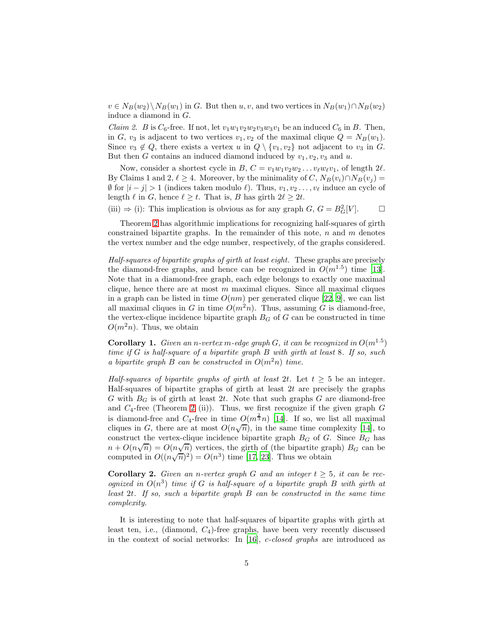$v \in N_B(w_2) \backslash N_B(w_1)$  in G. But then  $u, v$ , and two vertices in  $N_B(w_1) \cap N_B(w_2)$ induce a diamond in G.

*Claim 2.* B is  $C_6$ -free. If not, let  $v_1w_1v_2w_2v_3w_3v_1$  be an induced  $C_6$  in B. Then, in G,  $v_3$  is adjacent to two vertices  $v_1, v_2$  of the maximal clique  $Q = N_B(w_1)$ . Since  $v_3 \notin Q$ , there exists a vertex u in  $Q \setminus \{v_1, v_2\}$  not adjacent to  $v_3$  in G. But then G contains an induced diamond induced by  $v_1, v_2, v_3$  and u.

Now, consider a shortest cycle in B,  $C = v_1w_1v_2w_2 \ldots v_\ell w_\ell v_1$ , of length  $2\ell$ . By Claims 1 and 2,  $\ell \geq 4$ . Moreover, by the minimality of C,  $N_B(v_i) \cap N_B(v_j) =$  $\emptyset$  for  $|i-j|>1$  (indices taken modulo  $\ell$ ). Thus,  $v_1, v_2, \ldots, v_\ell$  induce an cycle of length  $\ell$  in  $G$ , hence  $\ell \geq t$ . That is,  $B$  has girth  $2\ell \geq 2t$ .

(iii)  $\Rightarrow$  (i): This implication is obvious as for any graph G,  $G = B_G^2[V]$ .  $\Box$ 

Theorem [2](#page-3-0) has algorithmic implications for recognizing half-squares of girth constrained bipartite graphs. In the remainder of this note,  $n$  and  $m$  denotes the vertex number and the edge number, respectively, of the graphs considered.

*Half-squares of bipartite graphs of girth at least eight.* These graphs are precisely the diamond-free graphs, and hence can be recognized in  $O(m^{1.5})$  time [\[13\]](#page-9-7). Note that in a diamond-free graph, each edge belongs to exactly one maximal clique, hence there are at most  $m$  maximal cliques. Since all maximal cliques in a graph can be listed in time  $O(nm)$  per generated clique [\[22,](#page-10-0) [9\]](#page-8-7), we can list all maximal cliques in G in time  $O(m^2n)$ . Thus, assuming G is diamond-free, the vertex-clique incidence bipartite graph  $B_G$  of  $G$  can be constructed in time  $O(m^2n)$ . Thus, we obtain

**Corollary 1.** *Given an n-vertex m-edge graph G, it can be recognized in*  $O(m^{1.5})$ *time if* G *is half-square of a bipartite graph* B *with girth at least* 8*. If so, such a bipartite graph B can be constructed in*  $O(m^2n)$  *time.* 

*Half-squares of bipartite graphs of girth at least* 2t. Let  $t \geq 5$  be an integer. Half-squares of bipartite graphs of girth at least  $2t$  are precisely the graphs G with  $B_G$  is of girth at least 2t. Note that such graphs G are diamond-free and  $C_4$ -free (Theorem [2](#page-3-0) (ii)). Thus, we first recognize if the given graph  $G$ is diamond-free and  $C_4$ -free in time  $O(m^{\frac{2}{3}}n)$  [\[14\]](#page-9-8). If so, we list all maximal cliques in G, there are at most  $O(n\sqrt{n})$ , in the same time complexity [\[14](#page-9-8)], to construct the vertex-clique incidence bipartite graph  $B_G$  of G. Since  $B_G$  has  $n + O(n\sqrt{n}) = O(n\sqrt{n})$  vertices, the girth of (the bipartite graph)  $B_G$  can be computed in  $O((n\sqrt{n})^2) = O(n^3)$  time [\[17,](#page-9-9) [23\]](#page-10-1). Thus we obtain

**Corollary 2.** *Given an n-vertex graph G and an integer*  $t \geq 5$ *, it can be recognized in* O(n 3 ) *time if* G *is half-square of a bipartite graph* B *with girth at least* 2t*. If so, such a bipartite graph* B *can be constructed in the same time complexity.*

It is interesting to note that half-squares of bipartite graphs with girth at least ten, i.e., (diamond,  $C_4$ )-free graphs, have been very recently discussed in the context of social networks: In [\[16\]](#page-9-10), c*-closed graphs* are introduced as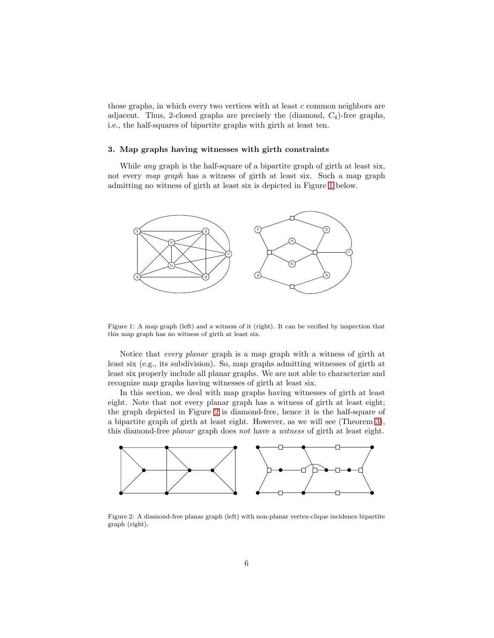those graphs, in which every two vertices with at least  $c$  common neighbors are adjacent. Thus, 2-closed graphs are precisely the (diamond,  $C_4$ )-free graphs, i.e., the half-squares of bipartite graphs with girth at least ten.

#### <span id="page-5-0"></span>3. Map graphs having witnesses with girth constraints

While *any* graph is the half-square of a bipartite graph of girth at least six, not every *map graph* has a witness of girth at least six. Such a map graph admitting no witness of girth at least six is depicted in Figure [1](#page-5-1) below.



<span id="page-5-1"></span>Figure 1: A map graph (left) and a witness of it (right). It can be verified by inspection that this map graph has no witness of girth at least six.

Notice that *every planar* graph is a map graph with a witness of girth at least six (e.g., its subdivision). So, map graphs admitting witnesses of girth at least six properly include all planar graphs. We are not able to characterize and recognize map graphs having witnesses of girth at least six.

In this section, we deal with map graphs having witnesses of girth at least eight. Note that not every planar graph has a witness of girth at least eight; the graph depicted in Figure [2](#page-5-2) is diamond-free, hence it is the half-square of a bipartite graph of girth at least eight. However, as we will see (Theorem [3\)](#page-6-0), this diamond-free *planar* graph does *not* have a *witness* of girth at least eight.



<span id="page-5-2"></span>Figure 2: A diamond-free planar graph (left) with non-planar vertex-clique incidence bipartite graph (right).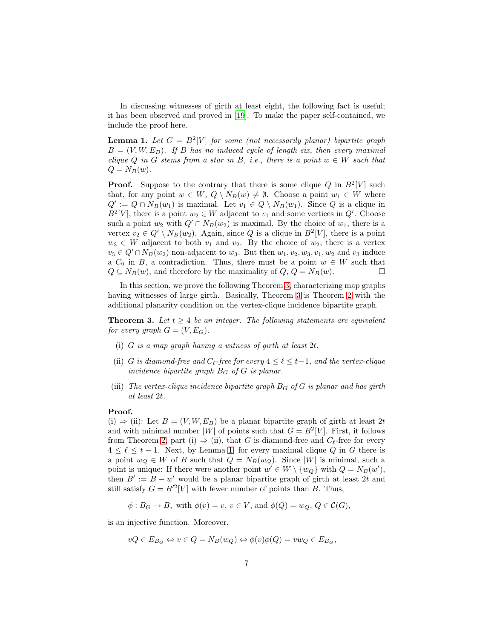In discussing witnesses of girth at least eight, the following fact is useful; it has been observed and proved in [\[19\]](#page-9-6). To make the paper self-contained, we include the proof here.

<span id="page-6-1"></span>**Lemma 1.** Let  $G = B^2[V]$  for some (not necessarily planar) bipartite graph  $B = (V, W, E_B)$ *. If* B has no induced cycle of length six, then every maximal *clique*  $Q$  *in*  $G$  *stems from a star in*  $B$ *, i.e., there is a point*  $w \in W$  *such that*  $Q = N_B(w)$ .

**Proof.** Suppose to the contrary that there is some clique Q in  $B^2[V]$  such that, for any point  $w \in W$ ,  $Q \setminus N_B(w) \neq \emptyset$ . Choose a point  $w_1 \in W$  where  $Q' := Q \cap N_B(w_1)$  is maximal. Let  $v_1 \in Q \setminus N_B(w_1)$ . Since Q is a clique in  $B^2[V]$ , there is a point  $w_2 \in W$  adjacent to  $v_1$  and some vertices in  $Q'$ . Choose such a point  $w_2$  with  $Q' \cap N_B(w_2)$  is maximal. By the choice of  $w_1$ , there is a vertex  $v_2 \in Q' \setminus N_B(w_2)$ . Again, since Q is a clique in  $B^2[V]$ , there is a point  $w_3 \in W$  adjacent to both  $v_1$  and  $v_2$ . By the choice of  $w_2$ , there is a vertex  $v_3 \in Q' \cap N_B(w_2)$  non-adjacent to  $w_3$ . But then  $w_1, v_2, w_3, v_1, w_2$  and  $v_3$  induce a  $C_6$  in B, a contradiction. Thus, there must be a point  $w \in W$  such that  $Q \subset N_B(w)$ , and therefore by the maximality of  $Q$ ,  $Q = N_B(w)$ .  $Q \subseteq N_B(w)$ , and therefore by the maximality of  $Q, Q = N_B(w)$ .

In this section, we prove the following Theorem [3,](#page-6-0) characterizing map graphs having witnesses of large girth. Basically, Theorem [3](#page-6-0) is Theorem [2](#page-3-0) with the additional planarity condition on the vertex-clique incidence bipartite graph.

**Theorem 3.** Let  $t \geq 4$  be an integer. The following statements are equivalent *for every graph*  $G = (V, E_G)$ *.* 

- <span id="page-6-0"></span>(i) G *is a map graph having a witness of girth at least* 2t*.*
- (ii) G *is diamond-free and*  $C_{\ell}$ -free for every  $4 \leq \ell \leq t-1$ , and the vertex-clique *incidence bipartite graph* B<sup>G</sup> *of* G *is planar.*
- (iii) *The vertex-clique incidence bipartite graph*  $B_G$  *of*  $G$  *is planar and has girth at least* 2t*.*

## Proof.

(i)  $\Rightarrow$  (ii): Let  $B = (V, W, E_B)$  be a planar bipartite graph of girth at least 2t and with minimal number  $|W|$  of points such that  $G = B<sup>2</sup>[V]$ . First, it follows from Theorem [2,](#page-3-0) part (i)  $\Rightarrow$  (ii), that G is diamond-free and  $C_{\ell}$ -free for every  $4 \leq \ell \leq t-1$ . Next, by Lemma [1,](#page-6-1) for every maximal clique Q in G there is a point  $w_Q \in W$  of B such that  $Q = N_B(w_Q)$ . Since |W| is minimal, such a point is unique: If there were another point  $w' \in W \setminus \{w_Q\}$  with  $Q = N_B(w')$ , then  $B' := B - w'$  would be a planar bipartite graph of girth at least 2t and still satisfy  $G = B^2[V]$  with fewer number of points than B. Thus,

$$
\phi: B_G \to B
$$
, with  $\phi(v) = v, v \in V$ , and  $\phi(Q) = w_Q, Q \in C(G)$ ,

is an injective function. Moreover,

$$
vQ \in E_{B_G} \Leftrightarrow v \in Q = N_B(w_Q) \Leftrightarrow \phi(v)\phi(Q) = vw_Q \in E_{B_G},
$$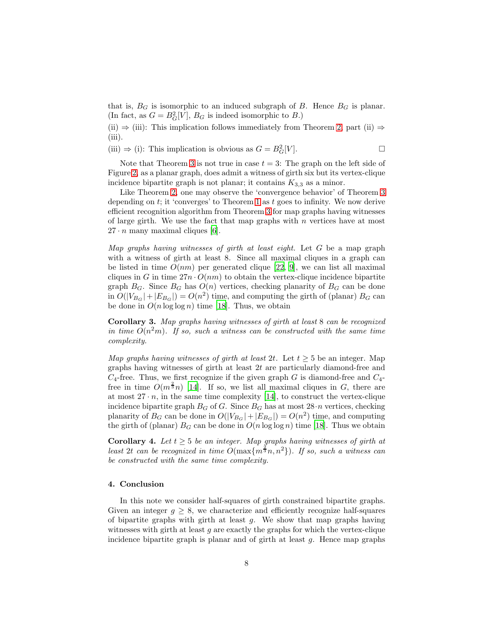that is,  $B_G$  is isomorphic to an induced subgraph of B. Hence  $B_G$  is planar. (In fact, as  $G = B_G^2[V]$ ,  $B_G$  is indeed isomorphic to  $B$ .)

(ii)  $\Rightarrow$  (iii): This implication follows immediately from Theorem [2,](#page-3-0) part (ii)  $\Rightarrow$ (iii).

(iii)  $\Rightarrow$  (i): This implication is obvious as  $G = B_G^2[V]$ .

Note that Theorem [3](#page-6-0) is not true in case  $t = 3$ : The graph on the left side of Figure [2,](#page-5-2) as a planar graph, does admit a witness of girth six but its vertex-clique incidence bipartite graph is not planar; it contains  $K_{3,3}$  as a minor.

Like Theorem [2,](#page-3-0) one may observe the 'convergence behavior' of Theorem [3](#page-6-0) depending on  $t$ ; it 'converges' to Theorem [1](#page-2-1) as  $t$  goes to infinity. We now derive efficient recognition algorithm from Theorem [3](#page-6-0) for map graphs having witnesses of large girth. We use the fact that map graphs with  $n$  vertices have at most  $27 \cdot n$  many maximal cliques [\[6](#page-8-1)].

*Map graphs having witnesses of girth at least eight.* Let G be a map graph with a witness of girth at least 8. Since all maximal cliques in a graph can be listed in time  $O(nm)$  per generated clique [\[22](#page-10-0), [9\]](#page-8-7), we can list all maximal cliques in G in time  $27n \cdot O(nm)$  to obtain the vertex-clique incidence bipartite graph  $B_G$ . Since  $B_G$  has  $O(n)$  vertices, checking planarity of  $B_G$  can be done in  $O(|V_{B_G}| + |E_{B_G}|) = O(n^2)$  time, and computing the girth of (planar)  $B_G$  can be done in  $O(n \log \log n)$  time [\[18\]](#page-9-11). Thus, we obtain

Corollary 3. *Map graphs having witnesses of girth at least* 8 *can be recognized* in time  $O(n^2m)$ . If so, such a witness can be constructed with the same time *complexity.*

*Map graphs having witnesses of girth at least 2t.* Let  $t \geq 5$  be an integer. Map graphs having witnesses of girth at least 2t are particularly diamond-free and  $C_4$ -free. Thus, we first recognize if the given graph G is diamond-free and  $C_4$ free in time  $O(m^{\frac{2}{3}}n)$  [\[14\]](#page-9-8). If so, we list all maximal cliques in G, there are at most  $27 \cdot n$ , in the same time complexity [\[14\]](#page-9-8), to construct the vertex-clique incidence bipartite graph  $B_G$  of G. Since  $B_G$  has at most  $28 \cdot n$  vertices, checking planarity of  $B_G$  can be done in  $O(|V_{B_G}| + |E_{B_G}|) = O(n^2)$  time, and computing the girth of (planar)  $B_G$  can be done in  $O(n \log \log n)$  time [\[18](#page-9-11)]. Thus we obtain

**Corollary 4.** Let  $t \geq 5$  be an integer. Map graphs having witnesses of girth at *least* 2t *can be recognized in time*  $O(\max\{m^{\frac{3}{3}}n, n^2\})$ *. If so, such a witness can be constructed with the same time complexity.*

#### 4. Conclusion

In this note we consider half-squares of girth constrained bipartite graphs. Given an integer  $q > 8$ , we characterize and efficiently recognize half-squares of bipartite graphs with girth at least  $g$ . We show that map graphs having witnesses with girth at least  $q$  are exactly the graphs for which the vertex-clique incidence bipartite graph is planar and of girth at least  $g$ . Hence map graphs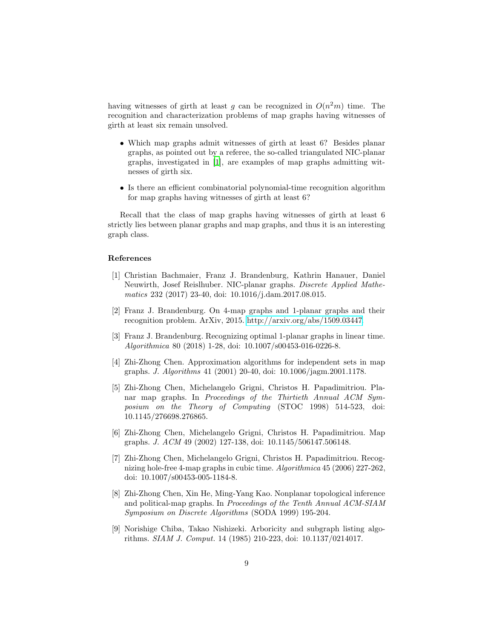having witnesses of girth at least g can be recognized in  $O(n^2m)$  time. The recognition and characterization problems of map graphs having witnesses of girth at least six remain unsolved.

- Which map graphs admit witnesses of girth at least 6? Besides planar graphs, as pointed out by a referee, the so-called triangulated NIC-planar graphs, investigated in [\[1\]](#page-8-8), are examples of map graphs admitting witnesses of girth six.
- Is there an efficient combinatorial polynomial-time recognition algorithm for map graphs having witnesses of girth at least 6?

Recall that the class of map graphs having witnesses of girth at least 6 strictly lies between planar graphs and map graphs, and thus it is an interesting graph class.

## References

- <span id="page-8-8"></span>[1] Christian Bachmaier, Franz J. Brandenburg, Kathrin Hanauer, Daniel Neuwirth, Josef Reislhuber. NIC-planar graphs. *Discrete Applied Mathematics* 232 (2017) 23-40, doi: 10.1016/j.dam.2017.08.015.
- <span id="page-8-4"></span>[2] Franz J. Brandenburg. On 4-map graphs and 1-planar graphs and their recognition problem. ArXiv, 2015. [http://arxiv.org/abs/1509.03447.](http://arxiv.org/abs/1509.03447)
- <span id="page-8-5"></span>[3] Franz J. Brandenburg. Recognizing optimal 1-planar graphs in linear time. *Algorithmica* 80 (2018) 1-28, doi: 10.1007/s00453-016-0226-8.
- <span id="page-8-3"></span>[4] Zhi-Zhong Chen. Approximation algorithms for independent sets in map graphs. *J. Algorithms* 41 (2001) 20-40, doi: 10.1006/jagm.2001.1178.
- <span id="page-8-0"></span>[5] Zhi-Zhong Chen, Michelangelo Grigni, Christos H. Papadimitriou. Planar map graphs. In *Proceedings of the Thirtieth Annual ACM Symposium on the Theory of Computing* (STOC 1998) 514-523, doi: 10.1145/276698.276865.
- <span id="page-8-1"></span>[6] Zhi-Zhong Chen, Michelangelo Grigni, Christos H. Papadimitriou. Map graphs. *J. ACM* 49 (2002) 127-138, doi: 10.1145/506147.506148.
- <span id="page-8-6"></span>[7] Zhi-Zhong Chen, Michelangelo Grigni, Christos H. Papadimitriou. Recognizing hole-free 4-map graphs in cubic time. *Algorithmica* 45 (2006) 227-262, doi: 10.1007/s00453-005-1184-8.
- <span id="page-8-2"></span>[8] Zhi-Zhong Chen, Xin He, Ming-Yang Kao. Nonplanar topological inference and political-map graphs. In *Proceedings of the Tenth Annual ACM-SIAM Symposium on Discrete Algorithms* (SODA 1999) 195-204.
- <span id="page-8-7"></span>[9] Norishige Chiba, Takao Nishizeki. Arboricity and subgraph listing algorithms. *SIAM J. Comput.* 14 (1985) 210-223, doi: 10.1137/0214017.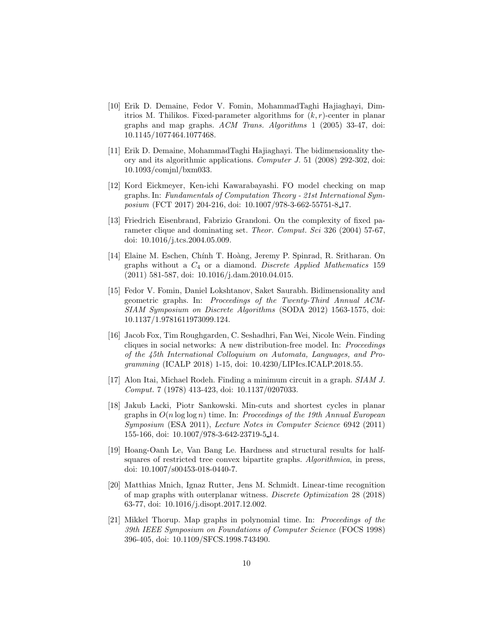- <span id="page-9-0"></span>[10] Erik D. Demaine, Fedor V. Fomin, MohammadTaghi Hajiaghayi, Dimitrios M. Thilikos. Fixed-parameter algorithms for  $(k, r)$ -center in planar graphs and map graphs. *ACM Trans. Algorithms* 1 (2005) 33-47, doi: 10.1145/1077464.1077468.
- <span id="page-9-1"></span>[11] Erik D. Demaine, MohammadTaghi Hajiaghayi. The bidimensionality theory and its algorithmic applications. *Computer J.* 51 (2008) 292-302, doi: 10.1093/comjnl/bxm033.
- <span id="page-9-2"></span>[12] Kord Eickmeyer, Ken-ichi Kawarabayashi. FO model checking on map graphs. In: *Fundamentals of Computation Theory - 21st International Symposium* (FCT 2017) 204-216, doi: 10.1007/978-3-662-55751-8<sub>-17</sub>.
- <span id="page-9-7"></span>[13] Friedrich Eisenbrand, Fabrizio Grandoni. On the complexity of fixed parameter clique and dominating set. *Theor. Comput. Sci* 326 (2004) 57-67, doi: 10.1016/j.tcs.2004.05.009.
- <span id="page-9-8"></span>[14] Elaine M. Eschen, Chính T. Hoàng, Jeremy P. Spinrad, R. Sritharan. On graphs without a C<sup>4</sup> or a diamond. *Discrete Applied Mathematics* 159 (2011) 581-587, doi: 10.1016/j.dam.2010.04.015.
- <span id="page-9-3"></span>[15] Fedor V. Fomin, Daniel Lokshtanov, Saket Saurabh. Bidimensionality and geometric graphs. In: *Proceedings of the Twenty-Third Annual ACM-SIAM Symposium on Discrete Algorithms* (SODA 2012) 1563-1575, doi: 10.1137/1.9781611973099.124.
- <span id="page-9-10"></span>[16] Jacob Fox, Tim Roughgarden, C. Seshadhri, Fan Wei, Nicole Wein. Finding cliques in social networks: A new distribution-free model. In: *Proceedings of the 45th International Colloquium on Automata, Languages, and Programming* (ICALP 2018) 1-15, doi: 10.4230/LIPIcs.ICALP.2018.55.
- <span id="page-9-9"></span>[17] Alon Itai, Michael Rodeh. Finding a minimum circuit in a graph. *SIAM J. Comput.* 7 (1978) 413-423, doi: 10.1137/0207033.
- <span id="page-9-11"></span>[18] Jakub Lacki, Piotr Sankowski. Min-cuts and shortest cycles in planar graphs in O(n log log n) time. In: *Proceedings of the 19th Annual European Symposium* (ESA 2011), *Lecture Notes in Computer Science* 6942 (2011) 155-166, doi: 10.1007/978-3-642-23719-5 14.
- <span id="page-9-6"></span>[19] Hoang-Oanh Le, Van Bang Le. Hardness and structural results for halfsquares of restricted tree convex bipartite graphs. *Algorithmica*, in press, doi: 10.1007/s00453-018-0440-7.
- <span id="page-9-5"></span>[20] Matthias Mnich, Ignaz Rutter, Jens M. Schmidt. Linear-time recognition of map graphs with outerplanar witness. *Discrete Optimization* 28 (2018) 63-77, doi: 10.1016/j.disopt.2017.12.002.
- <span id="page-9-4"></span>[21] Mikkel Thorup. Map graphs in polynomial time. In: *Proceedings of the 39th IEEE Symposium on Foundations of Computer Science* (FOCS 1998) 396-405, doi: 10.1109/SFCS.1998.743490.